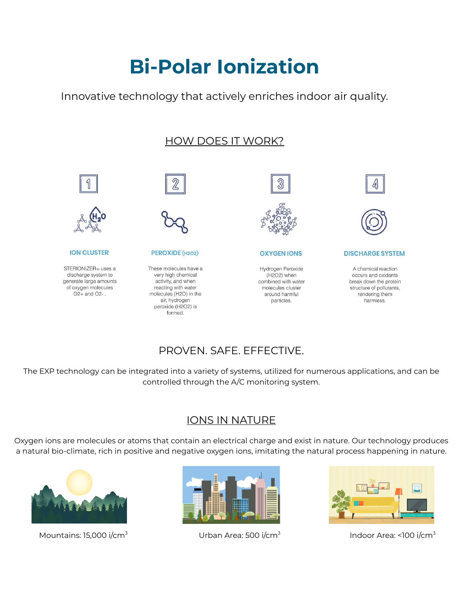# **Bi-Polar Ionization**

Innovative technology that actively enriches indoor air quality.

## HOW DOES IT WORK?





#### **ION CLUSTER**

STERIONIZER<sub>™</sub> uses a discharge system to generate large amounts of oxygen molecules O<sub>2</sub>+ and O<sub>2</sub>-.



#### PEROXIDE (H2O2)

These molecules have a very high chemical activity, and when reacting with water molecules (H2O) in the air, hydrogen peroxide (H2O2) is formed.



**OXYGEN IONS** 

Hydrogen Peroxide (H2O2) when combined with water molecules cluster around harmful particles.





**DISCHARGE SYSTEM** 

A chemical reaction occurs and oxidants break down the protein structure of pollutants, rendering them harmless.

## PROVEN. SAFE. EFFECTIVE.

The EXP technology can be integrated into a variety of systems, utilized for numerous applications, and can be controlled through the A/C monitoring system.

### IONS IN NATURE

Oxygen ions are molecules or atoms that contain an electrical charge and exist in nature. Our technology produces a natural bio-climate, rich in positive and negative oxygen ions, imitating the natural process happening in nature.



Mountains: 15,000 i/cm<sup>3</sup> Urban Area: 500 i/cm<sup>3</sup>





Indoor Area: <100 i/cm<sup>3</sup>